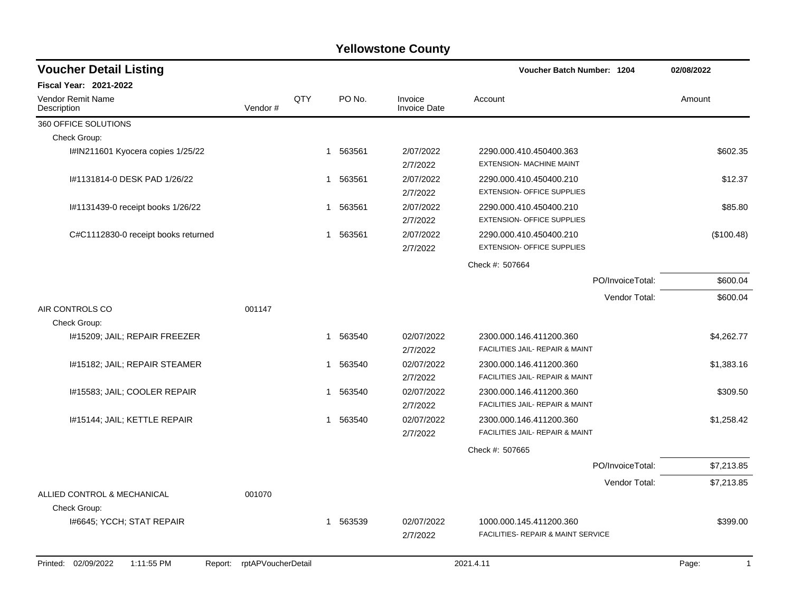| <b>Voucher Detail Listing</b>                |                    |     |          |                         | Voucher Batch Number: 1204                                   | 02/08/2022            |
|----------------------------------------------|--------------------|-----|----------|-------------------------|--------------------------------------------------------------|-----------------------|
| <b>Fiscal Year: 2021-2022</b>                |                    |     |          |                         |                                                              |                       |
| <b>Vendor Remit Name</b><br>Description      | Vendor#            | QTY | PO No.   | Invoice<br>Invoice Date | Account                                                      | Amount                |
| 360 OFFICE SOLUTIONS                         |                    |     |          |                         |                                                              |                       |
| Check Group:                                 |                    |     |          |                         |                                                              |                       |
| I#IN211601 Kyocera copies 1/25/22            |                    |     | 1 563561 | 2/07/2022<br>2/7/2022   | 2290.000.410.450400.363<br><b>EXTENSION- MACHINE MAINT</b>   | \$602.35              |
| #1131814-0 DESK PAD 1/26/22                  |                    | 1   | 563561   | 2/07/2022<br>2/7/2022   | 2290.000.410.450400.210<br><b>EXTENSION- OFFICE SUPPLIES</b> | \$12.37               |
| I#1131439-0 receipt books 1/26/22            |                    | 1   | 563561   | 2/07/2022<br>2/7/2022   | 2290.000.410.450400.210<br><b>EXTENSION- OFFICE SUPPLIES</b> | \$85.80               |
| C#C1112830-0 receipt books returned          |                    | 1   | 563561   | 2/07/2022<br>2/7/2022   | 2290.000.410.450400.210<br><b>EXTENSION- OFFICE SUPPLIES</b> | (\$100.48)            |
|                                              |                    |     |          |                         | Check #: 507664                                              |                       |
|                                              |                    |     |          |                         | PO/InvoiceTotal:                                             | \$600.04              |
|                                              |                    |     |          |                         | Vendor Total:                                                | \$600.04              |
| AIR CONTROLS CO                              | 001147             |     |          |                         |                                                              |                       |
| Check Group:                                 |                    |     |          |                         |                                                              |                       |
| I#15209; JAIL; REPAIR FREEZER                |                    | 1   | 563540   | 02/07/2022<br>2/7/2022  | 2300.000.146.411200.360<br>FACILITIES JAIL- REPAIR & MAINT   | \$4,262.77            |
| I#15182; JAIL; REPAIR STEAMER                |                    | 1   | 563540   | 02/07/2022<br>2/7/2022  | 2300.000.146.411200.360<br>FACILITIES JAIL- REPAIR & MAINT   | \$1,383.16            |
| I#15583; JAIL; COOLER REPAIR                 |                    | 1   | 563540   | 02/07/2022<br>2/7/2022  | 2300.000.146.411200.360<br>FACILITIES JAIL- REPAIR & MAINT   | \$309.50              |
| #15144; JAIL; KETTLE REPAIR                  |                    | 1   | 563540   | 02/07/2022<br>2/7/2022  | 2300.000.146.411200.360<br>FACILITIES JAIL- REPAIR & MAINT   | \$1,258.42            |
|                                              |                    |     |          |                         | Check #: 507665                                              |                       |
|                                              |                    |     |          |                         | PO/InvoiceTotal:                                             | \$7,213.85            |
|                                              |                    |     |          |                         | Vendor Total:                                                | \$7,213.85            |
| ALLIED CONTROL & MECHANICAL<br>Check Group:  | 001070             |     |          |                         |                                                              |                       |
| 1#6645; YCCH; STAT REPAIR                    |                    | 1   | 563539   | 02/07/2022              | 1000.000.145.411200.360                                      | \$399.00              |
|                                              |                    |     |          | 2/7/2022                | FACILITIES- REPAIR & MAINT SERVICE                           |                       |
| Printed: 02/09/2022<br>1:11:55 PM<br>Report: | rptAPVoucherDetail |     |          |                         | 2021.4.11                                                    | Page:<br>$\mathbf{1}$ |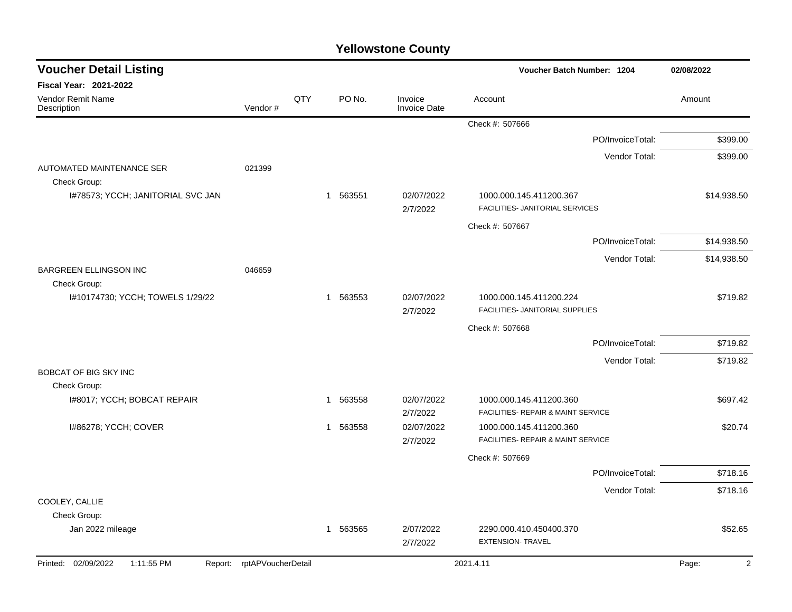| <b>Voucher Detail Listing</b>                 |                            |     |                       |                                | Voucher Batch Number: 1204                                    |                  | 02/08/2022                       |
|-----------------------------------------------|----------------------------|-----|-----------------------|--------------------------------|---------------------------------------------------------------|------------------|----------------------------------|
| <b>Fiscal Year: 2021-2022</b>                 |                            |     |                       |                                |                                                               |                  |                                  |
| <b>Vendor Remit Name</b><br>Description       | Vendor#                    | QTY | PO No.                | Invoice<br><b>Invoice Date</b> | Account                                                       |                  | Amount                           |
|                                               |                            |     |                       |                                | Check #: 507666                                               |                  |                                  |
|                                               |                            |     |                       |                                |                                                               | PO/InvoiceTotal: | \$399.00                         |
|                                               |                            |     |                       |                                |                                                               | Vendor Total:    | \$399.00                         |
| AUTOMATED MAINTENANCE SER<br>Check Group:     | 021399                     |     |                       |                                |                                                               |                  |                                  |
| I#78573; YCCH; JANITORIAL SVC JAN             |                            |     | 1 563551              | 02/07/2022<br>2/7/2022         | 1000.000.145.411200.367<br>FACILITIES- JANITORIAL SERVICES    |                  | \$14,938.50                      |
|                                               |                            |     |                       |                                | Check #: 507667                                               |                  |                                  |
|                                               |                            |     |                       |                                |                                                               | PO/InvoiceTotal: | \$14,938.50                      |
|                                               |                            |     |                       |                                |                                                               | Vendor Total:    | \$14,938.50                      |
| <b>BARGREEN ELLINGSON INC</b><br>Check Group: | 046659                     |     |                       |                                |                                                               |                  |                                  |
| I#10174730; YCCH; TOWELS 1/29/22              |                            |     | 1 563553              | 02/07/2022<br>2/7/2022         | 1000.000.145.411200.224<br>FACILITIES- JANITORIAL SUPPLIES    |                  | \$719.82                         |
|                                               |                            |     |                       |                                | Check #: 507668                                               |                  |                                  |
|                                               |                            |     |                       |                                |                                                               | PO/InvoiceTotal: | \$719.82                         |
|                                               |                            |     |                       |                                |                                                               | Vendor Total:    | \$719.82                         |
| <b>BOBCAT OF BIG SKY INC</b>                  |                            |     |                       |                                |                                                               |                  |                                  |
| Check Group:                                  |                            |     |                       |                                |                                                               |                  |                                  |
| 1#8017; YCCH; BOBCAT REPAIR                   |                            |     | 563558                | 02/07/2022<br>2/7/2022         | 1000.000.145.411200.360<br>FACILITIES- REPAIR & MAINT SERVICE |                  | \$697.42                         |
| I#86278; YCCH; COVER                          |                            |     | 563558<br>$\mathbf 1$ | 02/07/2022<br>2/7/2022         | 1000.000.145.411200.360<br>FACILITIES- REPAIR & MAINT SERVICE |                  | \$20.74                          |
|                                               |                            |     |                       |                                | Check #: 507669                                               |                  |                                  |
|                                               |                            |     |                       |                                |                                                               | PO/InvoiceTotal: | \$718.16                         |
|                                               |                            |     |                       |                                |                                                               | Vendor Total:    | \$718.16                         |
| COOLEY, CALLIE                                |                            |     |                       |                                |                                                               |                  |                                  |
| Check Group:                                  |                            |     |                       |                                |                                                               |                  |                                  |
| Jan 2022 mileage                              |                            |     | 563565<br>1           | 2/07/2022<br>2/7/2022          | 2290.000.410.450400.370<br><b>EXTENSION- TRAVEL</b>           |                  | \$52.65                          |
| Printed: 02/09/2022<br>1:11:55 PM             | Report: rptAPVoucherDetail |     |                       |                                | 2021.4.11                                                     |                  | $\overline{\mathbf{c}}$<br>Page: |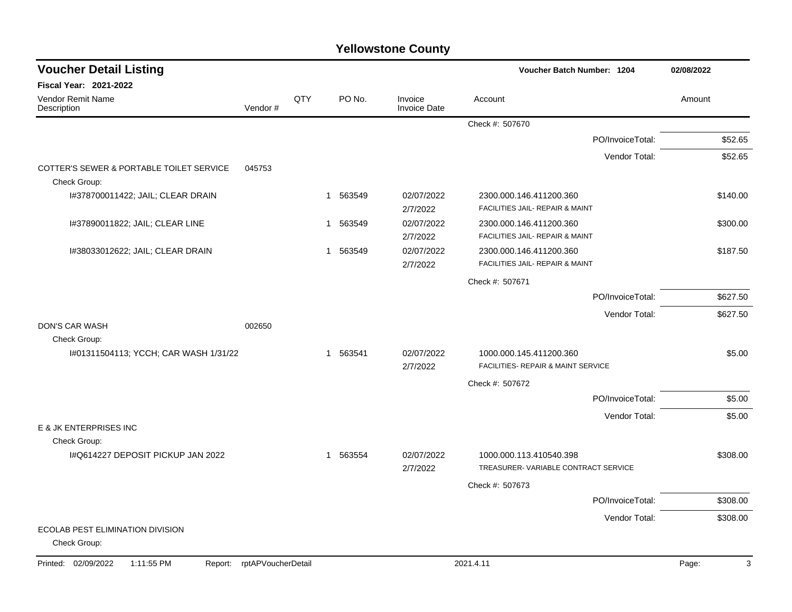| <b>Voucher Detail Listing</b>                            |                    |     |                          |                                | Voucher Batch Number: 1204                                     | 02/08/2022 |
|----------------------------------------------------------|--------------------|-----|--------------------------|--------------------------------|----------------------------------------------------------------|------------|
| Fiscal Year: 2021-2022                                   |                    |     |                          |                                |                                                                |            |
| Vendor Remit Name<br>Description                         | Vendor#            | QTY | PO No.                   | Invoice<br><b>Invoice Date</b> | Account                                                        | Amount     |
|                                                          |                    |     |                          |                                | Check #: 507670                                                |            |
|                                                          |                    |     |                          |                                | PO/InvoiceTotal:                                               | \$52.65    |
|                                                          |                    |     |                          |                                | Vendor Total:                                                  | \$52.65    |
| COTTER'S SEWER & PORTABLE TOILET SERVICE<br>Check Group: | 045753             |     |                          |                                |                                                                |            |
| I#378700011422; JAIL; CLEAR DRAIN                        |                    |     | 563549<br>1              | 02/07/2022<br>2/7/2022         | 2300.000.146.411200.360<br>FACILITIES JAIL- REPAIR & MAINT     | \$140.00   |
| 1#37890011822; JAIL; CLEAR LINE                          |                    |     | 563549<br>1              | 02/07/2022<br>2/7/2022         | 2300.000.146.411200.360<br>FACILITIES JAIL- REPAIR & MAINT     | \$300.00   |
| I#38033012622; JAIL; CLEAR DRAIN                         |                    |     | 563549<br>1              | 02/07/2022<br>2/7/2022         | 2300.000.146.411200.360<br>FACILITIES JAIL- REPAIR & MAINT     | \$187.50   |
|                                                          |                    |     |                          |                                | Check #: 507671                                                |            |
|                                                          |                    |     |                          |                                | PO/InvoiceTotal:                                               | \$627.50   |
|                                                          |                    |     |                          |                                | Vendor Total:                                                  | \$627.50   |
| <b>DON'S CAR WASH</b><br>Check Group:                    | 002650             |     |                          |                                |                                                                |            |
| I#01311504113; YCCH; CAR WASH 1/31/22                    |                    |     | 563541<br>1              | 02/07/2022<br>2/7/2022         | 1000.000.145.411200.360<br>FACILITIES- REPAIR & MAINT SERVICE  | \$5.00     |
|                                                          |                    |     |                          |                                | Check #: 507672                                                |            |
|                                                          |                    |     |                          |                                | PO/InvoiceTotal:                                               | \$5.00     |
|                                                          |                    |     |                          |                                | Vendor Total:                                                  | \$5.00     |
| E & JK ENTERPRISES INC<br>Check Group:                   |                    |     |                          |                                |                                                                |            |
| I#Q614227 DEPOSIT PICKUP JAN 2022                        |                    |     | 563554<br>$\overline{1}$ | 02/07/2022<br>2/7/2022         | 1000.000.113.410540.398<br>TREASURER-VARIABLE CONTRACT SERVICE | \$308.00   |
|                                                          |                    |     |                          |                                | Check #: 507673                                                |            |
|                                                          |                    |     |                          |                                | PO/InvoiceTotal:                                               | \$308.00   |
|                                                          |                    |     |                          |                                | Vendor Total:                                                  | \$308.00   |
| ECOLAB PEST ELIMINATION DIVISION<br>Check Group:         |                    |     |                          |                                |                                                                |            |
| Printed: 02/09/2022<br>1:11:55 PM<br>Report:             | rptAPVoucherDetail |     |                          |                                | 2021.4.11                                                      | 3<br>Page: |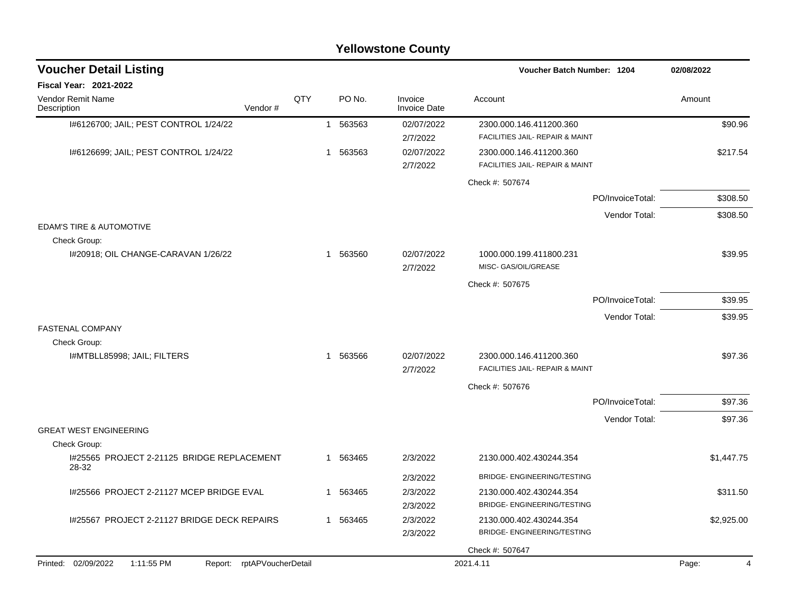|                                                                 |     |   |          | <b>Yellowstone County</b>      |                                                            |                  |            |
|-----------------------------------------------------------------|-----|---|----------|--------------------------------|------------------------------------------------------------|------------------|------------|
| <b>Voucher Detail Listing</b>                                   |     |   |          |                                | Voucher Batch Number: 1204                                 |                  | 02/08/2022 |
| <b>Fiscal Year: 2021-2022</b>                                   |     |   |          |                                |                                                            |                  |            |
| Vendor Remit Name<br>Vendor#<br>Description                     | QTY |   | PO No.   | Invoice<br><b>Invoice Date</b> | Account                                                    |                  | Amount     |
| I#6126700; JAIL; PEST CONTROL 1/24/22                           |     |   | 1 563563 | 02/07/2022<br>2/7/2022         | 2300.000.146.411200.360<br>FACILITIES JAIL- REPAIR & MAINT |                  | \$90.96    |
| I#6126699; JAIL; PEST CONTROL 1/24/22                           |     | 1 | 563563   | 02/07/2022<br>2/7/2022         | 2300.000.146.411200.360<br>FACILITIES JAIL- REPAIR & MAINT |                  | \$217.54   |
|                                                                 |     |   |          |                                | Check #: 507674                                            |                  |            |
|                                                                 |     |   |          |                                |                                                            | PO/InvoiceTotal: | \$308.50   |
|                                                                 |     |   |          |                                |                                                            | Vendor Total:    | \$308.50   |
| EDAM'S TIRE & AUTOMOTIVE<br>Check Group:                        |     |   |          |                                |                                                            |                  |            |
| I#20918; OIL CHANGE-CARAVAN 1/26/22                             |     |   | 1 563560 | 02/07/2022<br>2/7/2022         | 1000.000.199.411800.231<br>MISC- GAS/OIL/GREASE            |                  | \$39.95    |
|                                                                 |     |   |          |                                | Check #: 507675                                            |                  |            |
|                                                                 |     |   |          |                                |                                                            | PO/InvoiceTotal: | \$39.95    |
|                                                                 |     |   |          |                                |                                                            | Vendor Total:    | \$39.95    |
| <b>FASTENAL COMPANY</b><br>Check Group:                         |     |   |          |                                |                                                            |                  |            |
| I#MTBLL85998; JAIL; FILTERS                                     |     | 1 | 563566   | 02/07/2022<br>2/7/2022         | 2300.000.146.411200.360<br>FACILITIES JAIL- REPAIR & MAINT |                  | \$97.36    |
|                                                                 |     |   |          |                                | Check #: 507676                                            |                  |            |
|                                                                 |     |   |          |                                |                                                            | PO/InvoiceTotal: | \$97.36    |
|                                                                 |     |   |          |                                |                                                            | Vendor Total:    | \$97.36    |
| <b>GREAT WEST ENGINEERING</b><br>Check Group:                   |     |   |          |                                |                                                            |                  |            |
| I#25565 PROJECT 2-21125 BRIDGE REPLACEMENT                      |     |   | 1 563465 | 2/3/2022                       | 2130.000.402.430244.354                                    |                  | \$1,447.75 |
| 28-32                                                           |     |   |          | 2/3/2022                       | BRIDGE- ENGINEERING/TESTING                                |                  |            |
| I#25566 PROJECT 2-21127 MCEP BRIDGE EVAL                        |     |   | 1 563465 | 2/3/2022<br>2/3/2022           | 2130.000.402.430244.354<br>BRIDGE- ENGINEERING/TESTING     |                  | \$311.50   |
| I#25567 PROJECT 2-21127 BRIDGE DECK REPAIRS                     |     |   | 1 563465 | 2/3/2022<br>2/3/2022           | 2130.000.402.430244.354<br>BRIDGE- ENGINEERING/TESTING     |                  | \$2,925.00 |
|                                                                 |     |   |          |                                | Check #: 507647                                            |                  |            |
| Printed: 02/09/2022<br>1:11:55 PM<br>Report: rptAPVoucherDetail |     |   |          |                                | 2021.4.11                                                  |                  | Page:<br>4 |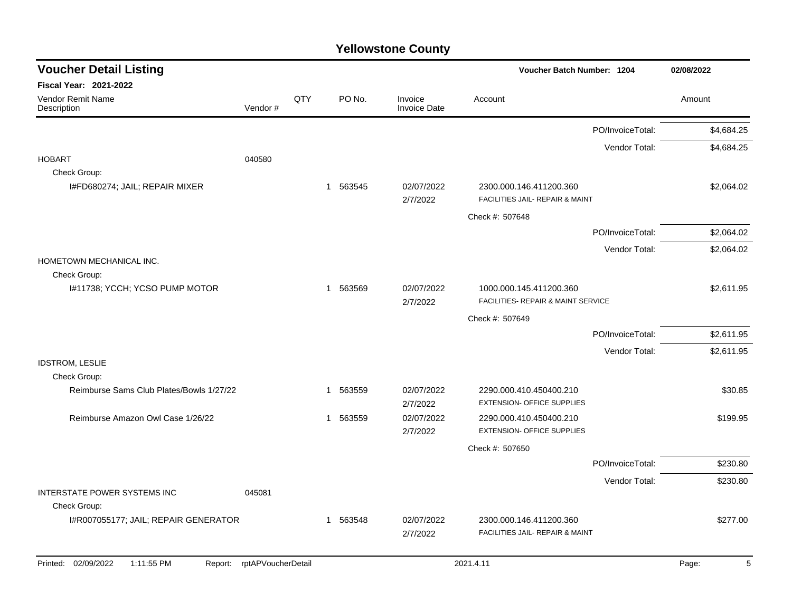| <b>Voucher Detail Listing</b>                  |                    |     |                        |                                | <b>Voucher Batch Number: 1204</b>                             | 02/08/2022 |
|------------------------------------------------|--------------------|-----|------------------------|--------------------------------|---------------------------------------------------------------|------------|
| <b>Fiscal Year: 2021-2022</b>                  |                    |     |                        |                                |                                                               |            |
| Vendor Remit Name<br>Description               | Vendor#            | QTY | PO No.                 | Invoice<br><b>Invoice Date</b> | Account                                                       | Amount     |
|                                                |                    |     |                        |                                | PO/InvoiceTotal:                                              | \$4,684.25 |
|                                                |                    |     |                        |                                | Vendor Total:                                                 | \$4,684.25 |
| <b>HOBART</b><br>Check Group:                  | 040580             |     |                        |                                |                                                               |            |
| I#FD680274; JAIL; REPAIR MIXER                 |                    |     | 1 563545               | 02/07/2022<br>2/7/2022         | 2300.000.146.411200.360<br>FACILITIES JAIL- REPAIR & MAINT    | \$2,064.02 |
|                                                |                    |     |                        |                                | Check #: 507648                                               |            |
|                                                |                    |     |                        |                                | PO/InvoiceTotal:                                              | \$2,064.02 |
|                                                |                    |     |                        |                                | Vendor Total:                                                 | \$2,064.02 |
| HOMETOWN MECHANICAL INC.                       |                    |     |                        |                                |                                                               |            |
| Check Group:<br>I#11738; YCCH; YCSO PUMP MOTOR |                    |     | 1 563569               | 02/07/2022<br>2/7/2022         | 1000.000.145.411200.360<br>FACILITIES- REPAIR & MAINT SERVICE | \$2,611.95 |
|                                                |                    |     |                        |                                | Check #: 507649                                               |            |
|                                                |                    |     |                        |                                | PO/InvoiceTotal:                                              | \$2,611.95 |
|                                                |                    |     |                        |                                | Vendor Total:                                                 | \$2,611.95 |
| <b>IDSTROM, LESLIE</b><br>Check Group:         |                    |     |                        |                                |                                                               |            |
| Reimburse Sams Club Plates/Bowls 1/27/22       |                    |     | 563559<br>$\mathbf{1}$ | 02/07/2022<br>2/7/2022         | 2290.000.410.450400.210<br><b>EXTENSION- OFFICE SUPPLIES</b>  | \$30.85    |
| Reimburse Amazon Owl Case 1/26/22              |                    |     | 563559<br>$\mathbf{1}$ | 02/07/2022<br>2/7/2022         | 2290.000.410.450400.210<br><b>EXTENSION- OFFICE SUPPLIES</b>  | \$199.95   |
|                                                |                    |     |                        |                                | Check #: 507650                                               |            |
|                                                |                    |     |                        |                                | PO/InvoiceTotal:                                              | \$230.80   |
|                                                |                    |     |                        |                                | Vendor Total:                                                 | \$230.80   |
| INTERSTATE POWER SYSTEMS INC<br>Check Group:   | 045081             |     |                        |                                |                                                               |            |
| I#R007055177; JAIL; REPAIR GENERATOR           |                    |     | 563548<br>$\mathbf{1}$ | 02/07/2022<br>2/7/2022         | 2300.000.146.411200.360<br>FACILITIES JAIL- REPAIR & MAINT    | \$277.00   |
| Printed: 02/09/2022<br>1:11:55 PM<br>Report:   | rptAPVoucherDetail |     |                        |                                | 2021.4.11                                                     | 5<br>Page: |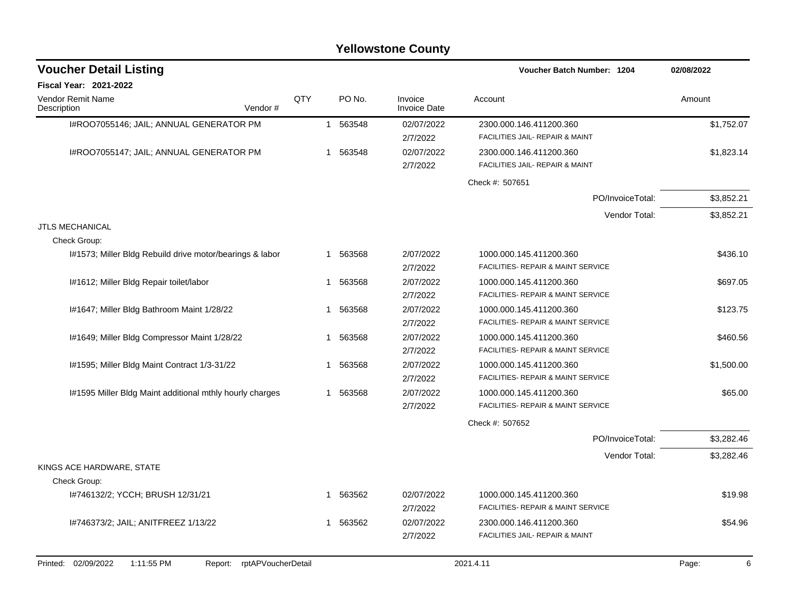| <b>Voucher Detail Listing</b>                                         |     |                        |                                | <b>Voucher Batch Number: 1204</b>                                     | 02/08/2022 |
|-----------------------------------------------------------------------|-----|------------------------|--------------------------------|-----------------------------------------------------------------------|------------|
| <b>Fiscal Year: 2021-2022</b>                                         |     |                        |                                |                                                                       |            |
| <b>Vendor Remit Name</b><br>Description<br>Vendor#                    | QTY | PO No.                 | Invoice<br><b>Invoice Date</b> | Account                                                               | Amount     |
| I#ROO7055146; JAIL; ANNUAL GENERATOR PM                               |     | 563548<br>$\mathbf{1}$ | 02/07/2022<br>2/7/2022         | 2300.000.146.411200.360<br>FACILITIES JAIL- REPAIR & MAINT            | \$1,752.07 |
| I#ROO7055147; JAIL; ANNUAL GENERATOR PM                               |     | 563548<br>1            | 02/07/2022<br>2/7/2022         | 2300.000.146.411200.360<br>FACILITIES JAIL- REPAIR & MAINT            | \$1,823.14 |
|                                                                       |     |                        |                                | Check #: 507651                                                       |            |
|                                                                       |     |                        |                                | PO/InvoiceTotal:                                                      | \$3,852.21 |
|                                                                       |     |                        |                                | Vendor Total:                                                         | \$3,852.21 |
| <b>JTLS MECHANICAL</b><br>Check Group:                                |     |                        |                                |                                                                       |            |
| I#1573; Miller Bldg Rebuild drive motor/bearings & labor              |     | 563568<br>$\mathbf{1}$ | 2/07/2022<br>2/7/2022          | 1000.000.145.411200.360<br>FACILITIES- REPAIR & MAINT SERVICE         | \$436.10   |
| I#1612; Miller Bldg Repair toilet/labor                               |     | 563568<br>1            | 2/07/2022<br>2/7/2022          | 1000.000.145.411200.360<br>FACILITIES- REPAIR & MAINT SERVICE         | \$697.05   |
| I#1647; Miller Bldg Bathroom Maint 1/28/22                            |     | 563568                 | 2/07/2022<br>2/7/2022          | 1000.000.145.411200.360<br>FACILITIES- REPAIR & MAINT SERVICE         | \$123.75   |
| I#1649; Miller Bldg Compressor Maint 1/28/22                          |     | 563568<br>1            | 2/07/2022<br>2/7/2022          | 1000.000.145.411200.360<br>FACILITIES- REPAIR & MAINT SERVICE         | \$460.56   |
| 1#1595; Miller Bldg Maint Contract 1/3-31/22                          |     | 563568<br>1            | 2/07/2022<br>2/7/2022          | 1000.000.145.411200.360<br>FACILITIES- REPAIR & MAINT SERVICE         | \$1,500.00 |
| I#1595 Miller Bldg Maint additional mthly hourly charges              |     | 563568<br>$\mathbf{1}$ | 2/07/2022<br>2/7/2022          | 1000.000.145.411200.360<br>FACILITIES- REPAIR & MAINT SERVICE         | \$65.00    |
|                                                                       |     |                        |                                | Check #: 507652                                                       |            |
|                                                                       |     |                        |                                | PO/InvoiceTotal:                                                      | \$3,282.46 |
|                                                                       |     |                        |                                | Vendor Total:                                                         | \$3,282.46 |
| KINGS ACE HARDWARE, STATE<br>Check Group:                             |     |                        |                                |                                                                       |            |
| 1#746132/2; YCCH; BRUSH 12/31/21                                      |     | 563562<br>1            | 02/07/2022<br>2/7/2022         | 1000.000.145.411200.360<br>FACILITIES- REPAIR & MAINT SERVICE         | \$19.98    |
| I#746373/2; JAIL; ANITFREEZ 1/13/22                                   |     | 563562<br>$\mathbf{1}$ | 02/07/2022<br>2/7/2022         | 2300.000.146.411200.360<br><b>FACILITIES JAIL- REPAIR &amp; MAINT</b> | \$54.96    |
| 02/09/2022<br>Printed:<br>1:11:55 PM<br>Report:<br>rptAPVoucherDetail |     |                        |                                | 2021.4.11                                                             | Page:<br>6 |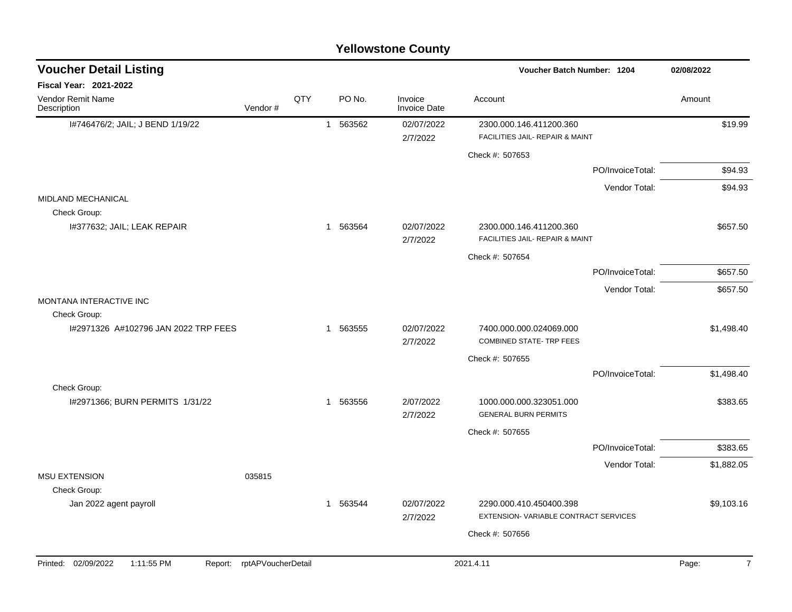|                                             |                            |     |             | <b>Yellowstone County</b>      |                                                                 |                  |            |
|---------------------------------------------|----------------------------|-----|-------------|--------------------------------|-----------------------------------------------------------------|------------------|------------|
| <b>Voucher Detail Listing</b>               |                            |     |             |                                | Voucher Batch Number: 1204                                      |                  | 02/08/2022 |
| Fiscal Year: 2021-2022                      |                            |     |             |                                |                                                                 |                  |            |
| Vendor Remit Name<br>Description            | Vendor#                    | QTY | PO No.      | Invoice<br><b>Invoice Date</b> | Account                                                         |                  | Amount     |
| I#746476/2; JAIL; J BEND 1/19/22            |                            |     | 1 563562    | 02/07/2022                     | 2300.000.146.411200.360                                         |                  | \$19.99    |
|                                             |                            |     |             | 2/7/2022                       | FACILITIES JAIL- REPAIR & MAINT                                 |                  |            |
|                                             |                            |     |             |                                | Check #: 507653                                                 |                  |            |
|                                             |                            |     |             |                                |                                                                 | PO/InvoiceTotal: | \$94.93    |
|                                             |                            |     |             |                                |                                                                 | Vendor Total:    | \$94.93    |
| MIDLAND MECHANICAL                          |                            |     |             |                                |                                                                 |                  |            |
| Check Group:<br>I#377632; JAIL; LEAK REPAIR |                            |     | 1 563564    | 02/07/2022<br>2/7/2022         | 2300.000.146.411200.360<br>FACILITIES JAIL- REPAIR & MAINT      |                  | \$657.50   |
|                                             |                            |     |             |                                | Check #: 507654                                                 |                  |            |
|                                             |                            |     |             |                                |                                                                 | PO/InvoiceTotal: | \$657.50   |
|                                             |                            |     |             |                                |                                                                 | Vendor Total:    | \$657.50   |
| MONTANA INTERACTIVE INC                     |                            |     |             |                                |                                                                 |                  |            |
| Check Group:                                |                            |     |             |                                |                                                                 |                  |            |
| I#2971326 A#102796 JAN 2022 TRP FEES        |                            |     | 1 563555    | 02/07/2022<br>2/7/2022         | 7400.000.000.024069.000<br><b>COMBINED STATE- TRP FEES</b>      |                  | \$1,498.40 |
|                                             |                            |     |             |                                | Check #: 507655                                                 |                  |            |
|                                             |                            |     |             |                                |                                                                 | PO/InvoiceTotal: | \$1,498.40 |
| Check Group:                                |                            |     |             |                                |                                                                 |                  |            |
| I#2971366; BURN PERMITS 1/31/22             |                            |     | 563556<br>1 | 2/07/2022<br>2/7/2022          | 1000.000.000.323051.000<br><b>GENERAL BURN PERMITS</b>          |                  | \$383.65   |
|                                             |                            |     |             |                                | Check #: 507655                                                 |                  |            |
|                                             |                            |     |             |                                |                                                                 | PO/InvoiceTotal: | \$383.65   |
|                                             |                            |     |             |                                |                                                                 | Vendor Total:    | \$1,882.05 |
| <b>MSU EXTENSION</b>                        | 035815                     |     |             |                                |                                                                 |                  |            |
| Check Group:                                |                            |     |             |                                |                                                                 |                  | \$9,103.16 |
| Jan 2022 agent payroll                      |                            |     | 1 563544    | 02/07/2022<br>2/7/2022         | 2290.000.410.450400.398<br>EXTENSION-VARIABLE CONTRACT SERVICES |                  |            |
|                                             |                            |     |             |                                | Check #: 507656                                                 |                  |            |
|                                             |                            |     |             |                                |                                                                 |                  |            |
| Printed: 02/09/2022<br>1:11:55 PM           | Report: rptAPVoucherDetail |     |             |                                | 2021.4.11                                                       |                  | Page:<br>7 |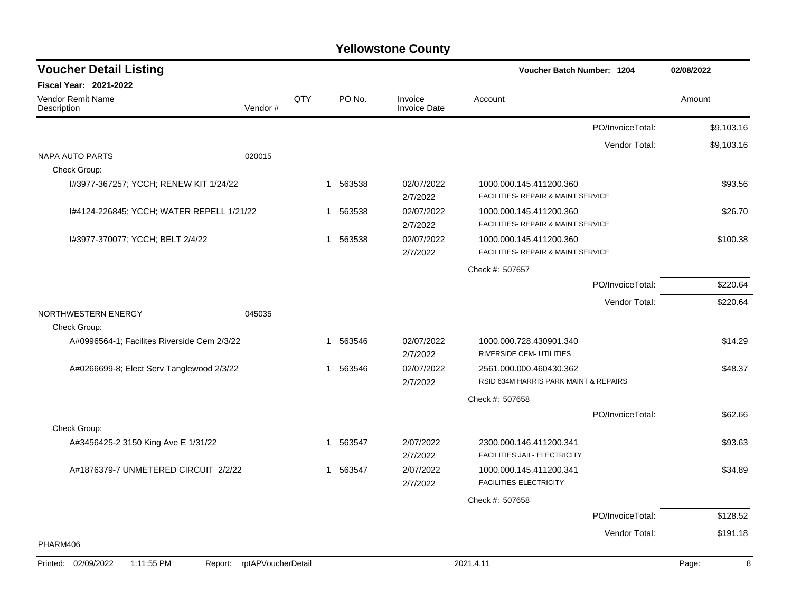| <b>Voucher Detail Listing</b>               |                               |     |              |                                | Voucher Batch Number: 1204            |                  | 02/08/2022 |
|---------------------------------------------|-------------------------------|-----|--------------|--------------------------------|---------------------------------------|------------------|------------|
| Fiscal Year: 2021-2022                      |                               |     |              |                                |                                       |                  |            |
| Vendor Remit Name<br>Description            | Vendor#                       | QTY | PO No.       | Invoice<br><b>Invoice Date</b> | Account                               |                  | Amount     |
|                                             |                               |     |              |                                |                                       | PO/InvoiceTotal: | \$9,103.16 |
|                                             |                               |     |              |                                |                                       | Vendor Total:    | \$9,103.16 |
| <b>NAPA AUTO PARTS</b>                      | 020015                        |     |              |                                |                                       |                  |            |
| Check Group:                                |                               |     |              |                                |                                       |                  |            |
| 1#3977-367257; YCCH; RENEW KIT 1/24/22      |                               |     | 563538<br>1  | 02/07/2022                     | 1000.000.145.411200.360               |                  | \$93.56    |
|                                             |                               |     |              | 2/7/2022                       | FACILITIES- REPAIR & MAINT SERVICE    |                  |            |
| I#4124-226845; YCCH; WATER REPELL 1/21/22   |                               |     | 563538<br>1  | 02/07/2022                     | 1000.000.145.411200.360               |                  | \$26.70    |
|                                             |                               |     |              | 2/7/2022                       | FACILITIES- REPAIR & MAINT SERVICE    |                  |            |
| I#3977-370077; YCCH; BELT 2/4/22            |                               |     | 563538<br>1  | 02/07/2022                     | 1000.000.145.411200.360               |                  | \$100.38   |
|                                             |                               |     |              | 2/7/2022                       | FACILITIES- REPAIR & MAINT SERVICE    |                  |            |
|                                             |                               |     |              |                                | Check #: 507657                       |                  |            |
|                                             |                               |     |              |                                |                                       | PO/InvoiceTotal: | \$220.64   |
|                                             |                               |     |              |                                |                                       | Vendor Total:    | \$220.64   |
| NORTHWESTERN ENERGY                         | 045035                        |     |              |                                |                                       |                  |            |
| Check Group:                                |                               |     |              |                                |                                       |                  |            |
| A#0996564-1; Facilites Riverside Cem 2/3/22 |                               |     | 563546<br>1. | 02/07/2022                     | 1000.000.728.430901.340               |                  | \$14.29    |
|                                             |                               |     |              | 2/7/2022                       | RIVERSIDE CEM- UTILITIES              |                  |            |
| A#0266699-8; Elect Serv Tanglewood 2/3/22   |                               |     | 563546<br>1  | 02/07/2022                     | 2561.000.000.460430.362               |                  | \$48.37    |
|                                             |                               |     |              | 2/7/2022                       | RSID 634M HARRIS PARK MAINT & REPAIRS |                  |            |
|                                             |                               |     |              |                                | Check #: 507658                       |                  |            |
|                                             |                               |     |              |                                |                                       | PO/InvoiceTotal: | \$62.66    |
| Check Group:                                |                               |     |              |                                |                                       |                  |            |
| A#3456425-2 3150 King Ave E 1/31/22         |                               |     | 563547<br>1  | 2/07/2022                      | 2300.000.146.411200.341               |                  | \$93.63    |
|                                             |                               |     |              | 2/7/2022                       | FACILITIES JAIL- ELECTRICITY          |                  |            |
| A#1876379-7 UNMETERED CIRCUIT 2/2/22        |                               |     | 1 563547     | 2/07/2022                      | 1000.000.145.411200.341               |                  | \$34.89    |
|                                             |                               |     |              | 2/7/2022                       | FACILITIES-ELECTRICITY                |                  |            |
|                                             |                               |     |              |                                | Check #: 507658                       |                  |            |
|                                             |                               |     |              |                                |                                       | PO/InvoiceTotal: | \$128.52   |
|                                             |                               |     |              |                                |                                       | Vendor Total:    | \$191.18   |
| PHARM406                                    |                               |     |              |                                |                                       |                  |            |
| Printed: 02/09/2022<br>1:11:55 PM           | rptAPVoucherDetail<br>Report: |     |              |                                | 2021.4.11                             |                  | Page:<br>8 |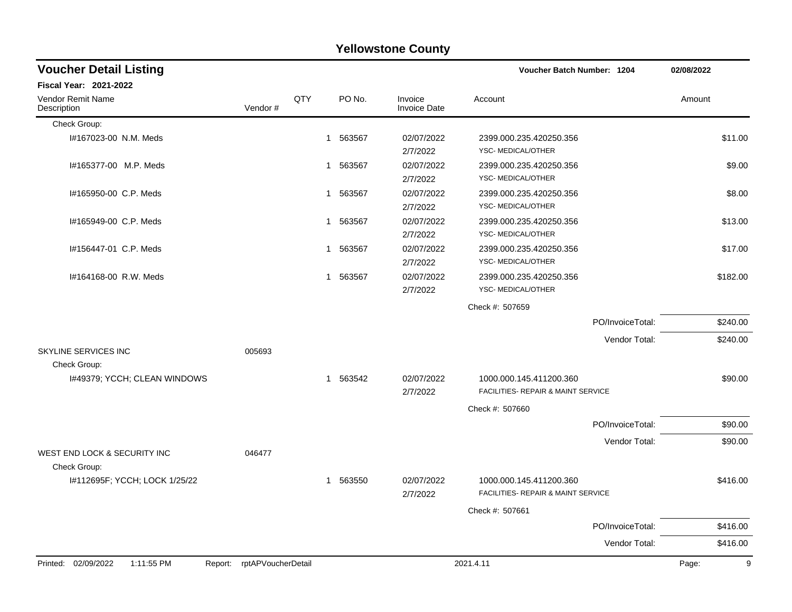|                                         |                            |     |                        | <b>Yellowstone County</b>      |                                                               |            |
|-----------------------------------------|----------------------------|-----|------------------------|--------------------------------|---------------------------------------------------------------|------------|
| <b>Voucher Detail Listing</b>           |                            |     |                        |                                | <b>Voucher Batch Number: 1204</b>                             | 02/08/2022 |
| <b>Fiscal Year: 2021-2022</b>           |                            |     |                        |                                |                                                               |            |
| <b>Vendor Remit Name</b><br>Description | Vendor#                    | QTY | PO No.                 | Invoice<br><b>Invoice Date</b> | Account                                                       | Amount     |
| Check Group:                            |                            |     |                        |                                |                                                               |            |
| I#167023-00 N.M. Meds                   |                            |     | 563567<br>1            | 02/07/2022<br>2/7/2022         | 2399.000.235.420250.356<br>YSC-MEDICAL/OTHER                  | \$11.00    |
| I#165377-00 M.P. Meds                   |                            |     | 563567<br>1.           | 02/07/2022<br>2/7/2022         | 2399.000.235.420250.356<br>YSC- MEDICAL/OTHER                 | \$9.00     |
| I#165950-00 C.P. Meds                   |                            |     | 1 563567               | 02/07/2022<br>2/7/2022         | 2399.000.235.420250.356<br>YSC- MEDICAL/OTHER                 | \$8.00     |
| I#165949-00 C.P. Meds                   |                            |     | 563567<br>1            | 02/07/2022<br>2/7/2022         | 2399.000.235.420250.356<br>YSC-MEDICAL/OTHER                  | \$13.00    |
| I#156447-01 C.P. Meds                   |                            |     | 563567<br>$\mathbf{1}$ | 02/07/2022<br>2/7/2022         | 2399.000.235.420250.356<br>YSC- MEDICAL/OTHER                 | \$17.00    |
| I#164168-00 R.W. Meds                   |                            |     | 1 563567               | 02/07/2022<br>2/7/2022         | 2399.000.235.420250.356<br>YSC-MEDICAL/OTHER                  | \$182.00   |
|                                         |                            |     |                        |                                | Check #: 507659                                               |            |
|                                         |                            |     |                        |                                | PO/InvoiceTotal:                                              | \$240.00   |
|                                         |                            |     |                        |                                | Vendor Total:                                                 | \$240.00   |
| SKYLINE SERVICES INC<br>Check Group:    | 005693                     |     |                        |                                |                                                               |            |
| I#49379; YCCH; CLEAN WINDOWS            |                            |     | 1 563542               | 02/07/2022<br>2/7/2022         | 1000.000.145.411200.360<br>FACILITIES- REPAIR & MAINT SERVICE | \$90.00    |
|                                         |                            |     |                        |                                | Check #: 507660                                               |            |
|                                         |                            |     |                        |                                | PO/InvoiceTotal:                                              | \$90.00    |
| WEST END LOCK & SECURITY INC            | 046477                     |     |                        |                                | Vendor Total:                                                 | \$90.00    |
| Check Group:                            |                            |     |                        |                                |                                                               |            |
| I#112695F; YCCH; LOCK 1/25/22           |                            |     | 1 563550               | 02/07/2022<br>2/7/2022         | 1000.000.145.411200.360<br>FACILITIES- REPAIR & MAINT SERVICE | \$416.00   |
|                                         |                            |     |                        |                                | Check #: 507661                                               |            |
|                                         |                            |     |                        |                                | PO/InvoiceTotal:                                              | \$416.00   |
|                                         |                            |     |                        |                                | Vendor Total:                                                 | \$416.00   |
| Printed: 02/09/2022<br>1:11:55 PM       | Report: rptAPVoucherDetail |     |                        |                                | 2021.4.11                                                     | Page:<br>9 |